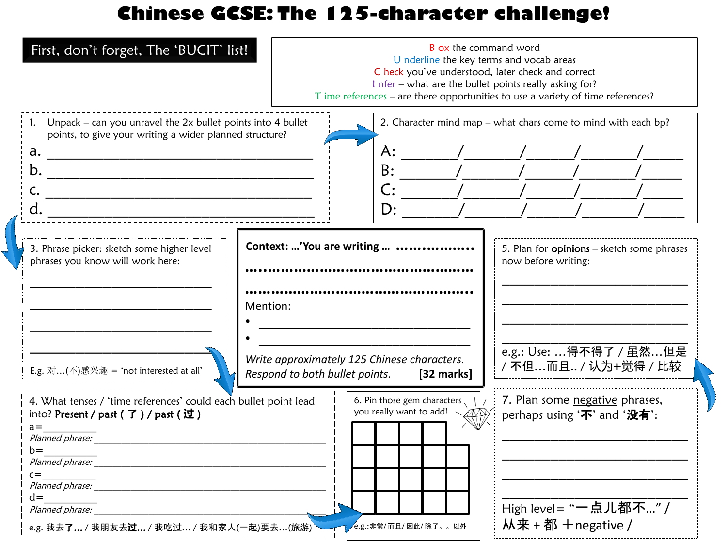## **Chinese GCSE: The 125-character challenge!**

| First, don't forget, The 'BUCIT' list!                                                                                                                                                                                              |                                                                                                                                                                                                                                                                                                                                                                                                                                                   | <b>B</b> ox the command word<br>U nderline the key terms and vocab areas<br>C heck you've understood, later check and correct<br>I nfer - what are the bullet points really asking for?<br>T ime references – are there opportunities to use a variety of time references? |
|-------------------------------------------------------------------------------------------------------------------------------------------------------------------------------------------------------------------------------------|---------------------------------------------------------------------------------------------------------------------------------------------------------------------------------------------------------------------------------------------------------------------------------------------------------------------------------------------------------------------------------------------------------------------------------------------------|----------------------------------------------------------------------------------------------------------------------------------------------------------------------------------------------------------------------------------------------------------------------------|
| 1. Unpack – can you unravel the $2x$ bullet points into 4 bullet<br>points, to give your writing a wider planned structure?<br>a.<br>b.                                                                                             | A:<br>B:<br>$\frac{1}{\sqrt{1-\frac{1}{2}}}\frac{1}{\sqrt{1-\frac{1}{2}}}\frac{1}{\sqrt{1-\frac{1}{2}}}\frac{1}{\sqrt{1-\frac{1}{2}}}\frac{1}{\sqrt{1-\frac{1}{2}}}\frac{1}{\sqrt{1-\frac{1}{2}}}\frac{1}{\sqrt{1-\frac{1}{2}}}\frac{1}{\sqrt{1-\frac{1}{2}}}\frac{1}{\sqrt{1-\frac{1}{2}}}\frac{1}{\sqrt{1-\frac{1}{2}}}\frac{1}{\sqrt{1-\frac{1}{2}}}\frac{1}{\sqrt{1-\frac{1}{2}}}\frac{1}{\sqrt{1-\frac{1}{2}}}\frac{1}{\sqrt{1-\frac{$<br>D: | 2. Character mind map - what chars come to mind with each bp?                                                                                                                                                                                                              |
| 3. Phrase picker: sketch some higher level<br>phrases you know will work here:<br>E.g. 对(不)感兴趣 = 'not interested at all'                                                                                                            | Context: 'You are writing<br>Mention:<br>Write approximately 125 Chinese characters.<br>Respond to both bullet points.<br>[32 marks]                                                                                                                                                                                                                                                                                                              | 5. Plan for <b>opinions</b> - sketch some phrases<br>now before writing:<br>e.g.: Use: 得不得了 / 虽然但是<br>/ 不但而且 / 认为+觉得 / 比较                                                                                                                                                  |
| 4. What tenses / 'time references' could each bullet point lead<br>into? Present / past ( 了 ) / past ( 过 )<br>$a =$<br>Planned phrase:<br>$b =$<br>$c =$<br>$d =$<br>Planned phrase:<br>e.g. 我去了… / 我朋友去过… / 我吃过… / 我和家人(一起)要去…(旅游) | 6. Pin those gem characters $\langle   \rangle$<br>you really want to add!<br>e.g.:非常/ 而且/ 因此/ 除了。。以外                                                                                                                                                                                                                                                                                                                                             | 7. Plan some negative phrases,<br>perhaps using '不' and '没有':<br>High level= "一点儿都不" /<br>从来+都 + negative /                                                                                                                                                                |